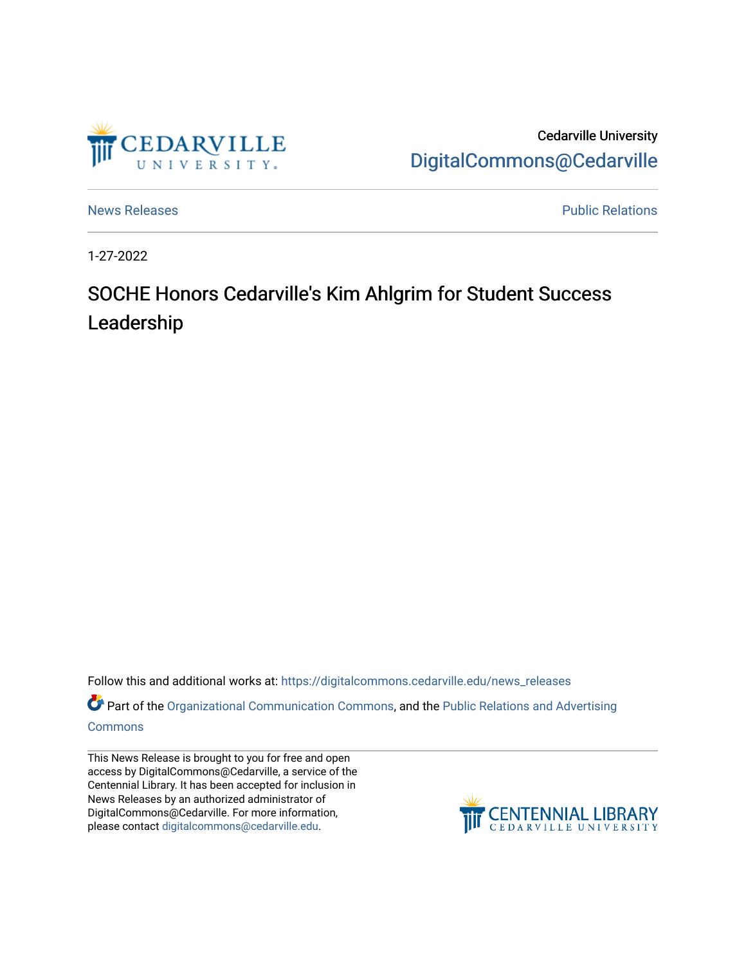

Cedarville University [DigitalCommons@Cedarville](https://digitalcommons.cedarville.edu/) 

[News Releases](https://digitalcommons.cedarville.edu/news_releases) **Public Relations Public Relations** 

1-27-2022

## SOCHE Honors Cedarville's Kim Ahlgrim for Student Success Leadership

Follow this and additional works at: [https://digitalcommons.cedarville.edu/news\\_releases](https://digitalcommons.cedarville.edu/news_releases?utm_source=digitalcommons.cedarville.edu%2Fnews_releases%2F1487&utm_medium=PDF&utm_campaign=PDFCoverPages) 

Part of the [Organizational Communication Commons](http://network.bepress.com/hgg/discipline/335?utm_source=digitalcommons.cedarville.edu%2Fnews_releases%2F1487&utm_medium=PDF&utm_campaign=PDFCoverPages), and the [Public Relations and Advertising](http://network.bepress.com/hgg/discipline/336?utm_source=digitalcommons.cedarville.edu%2Fnews_releases%2F1487&utm_medium=PDF&utm_campaign=PDFCoverPages)  [Commons](http://network.bepress.com/hgg/discipline/336?utm_source=digitalcommons.cedarville.edu%2Fnews_releases%2F1487&utm_medium=PDF&utm_campaign=PDFCoverPages)

This News Release is brought to you for free and open access by DigitalCommons@Cedarville, a service of the Centennial Library. It has been accepted for inclusion in News Releases by an authorized administrator of DigitalCommons@Cedarville. For more information, please contact [digitalcommons@cedarville.edu](mailto:digitalcommons@cedarville.edu).